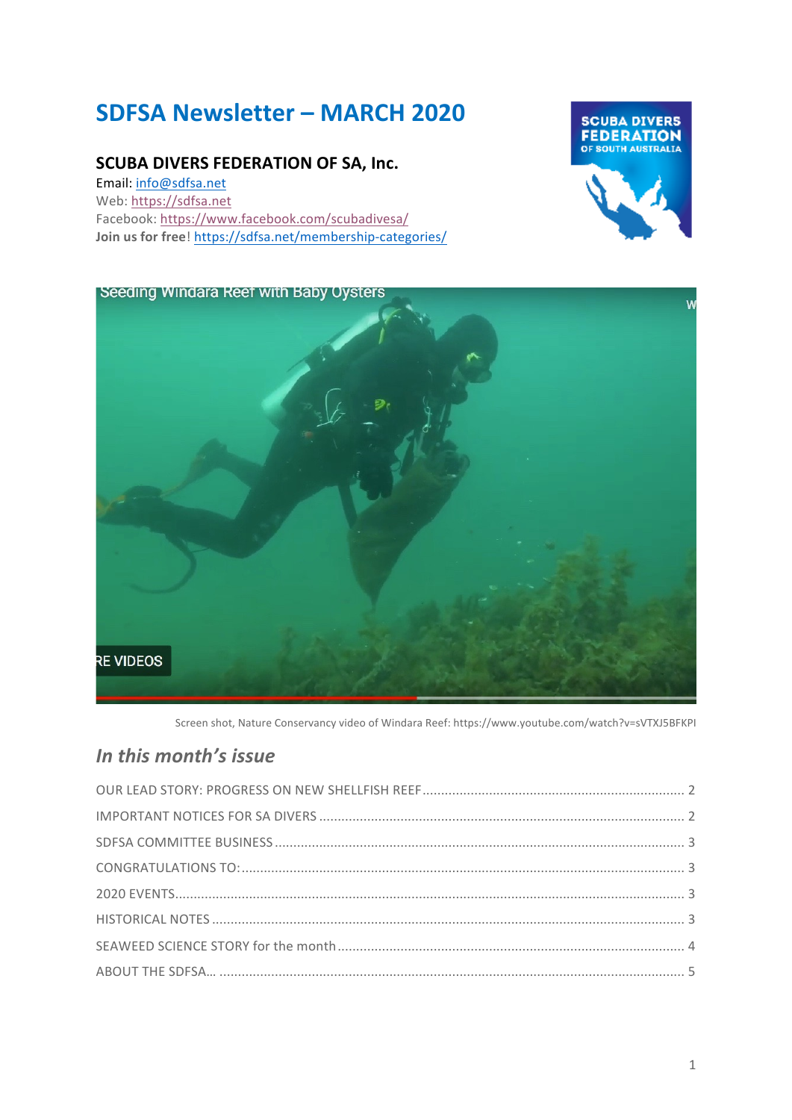# **SDFSA Newsletter – MARCH 2020**

### **SCUBA DIVERS FEDERATION OF SA, Inc.**

Email: info@sdfsa.net Web: https://sdfsa.net Facebook: https://www.facebook.com/scubadivesa/ **Join us for free!** https://sdfsa.net/membership-categories/



Seeding Windara Reef with Baby Oysters Ŵ **RE VIDEOS** 

Screen shot, Nature Conservancy video of Windara Reef: https://www.youtube.com/watch?v=sVTXJ5BFKPI

# *In this month's issue*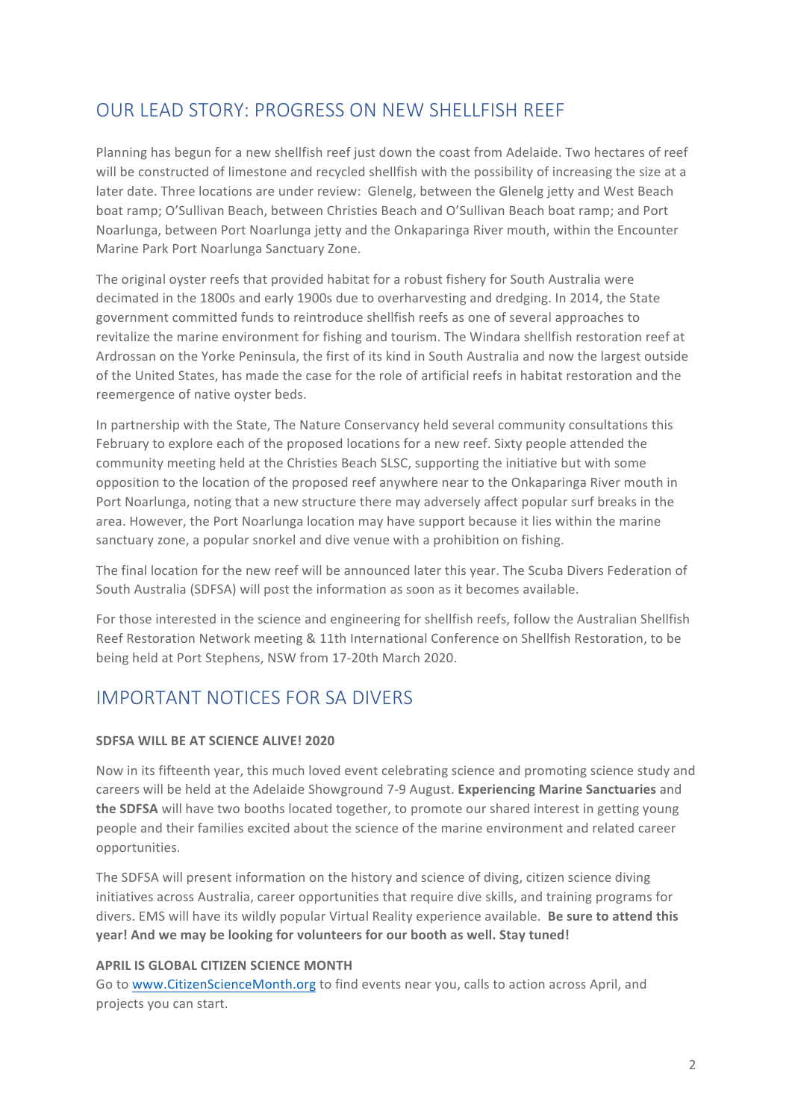# OUR LEAD STORY: PROGRESS ON NEW SHELLFISH REEF

Planning has begun for a new shellfish reef just down the coast from Adelaide. Two hectares of reef will be constructed of limestone and recycled shellfish with the possibility of increasing the size at a later date. Three locations are under review: Glenelg, between the Glenelg jetty and West Beach boat ramp; O'Sullivan Beach, between Christies Beach and O'Sullivan Beach boat ramp; and Port Noarlunga, between Port Noarlunga ietty and the Onkaparinga River mouth, within the Encounter Marine Park Port Noarlunga Sanctuary Zone.

The original oyster reefs that provided habitat for a robust fishery for South Australia were decimated in the 1800s and early 1900s due to overharvesting and dredging. In 2014, the State government committed funds to reintroduce shellfish reefs as one of several approaches to revitalize the marine environment for fishing and tourism. The Windara shellfish restoration reef at Ardrossan on the Yorke Peninsula, the first of its kind in South Australia and now the largest outside of the United States, has made the case for the role of artificial reefs in habitat restoration and the reemergence of native oyster beds.

In partnership with the State, The Nature Conservancy held several community consultations this February to explore each of the proposed locations for a new reef. Sixty people attended the community meeting held at the Christies Beach SLSC, supporting the initiative but with some opposition to the location of the proposed reef anywhere near to the Onkaparinga River mouth in Port Noarlunga, noting that a new structure there may adversely affect popular surf breaks in the area. However, the Port Noarlunga location may have support because it lies within the marine sanctuary zone, a popular snorkel and dive venue with a prohibition on fishing.

The final location for the new reef will be announced later this year. The Scuba Divers Federation of South Australia (SDFSA) will post the information as soon as it becomes available.

For those interested in the science and engineering for shellfish reefs, follow the Australian Shellfish Reef Restoration Network meeting & 11th International Conference on Shellfish Restoration, to be being held at Port Stephens, NSW from 17-20th March 2020.

# IMPORTANT NOTICES FOR SA DIVERS

#### **SDFSA WILL BE AT SCIENCE ALIVE! 2020**

Now in its fifteenth year, this much loved event celebrating science and promoting science study and careers will be held at the Adelaide Showground 7-9 August. **Experiencing Marine Sanctuaries** and **the SDFSA** will have two booths located together, to promote our shared interest in getting young people and their families excited about the science of the marine environment and related career opportunities. 

The SDFSA will present information on the history and science of diving, citizen science diving initiatives across Australia, career opportunities that require dive skills, and training programs for divers. EMS will have its wildly popular Virtual Reality experience available. Be sure to attend this **year!** And we may be looking for volunteers for our booth as well. Stay tuned!

#### **APRIL IS GLOBAL CITIZEN SCIENCE MONTH**

Go to www.CitizenScienceMonth.org to find events near you, calls to action across April, and projects you can start.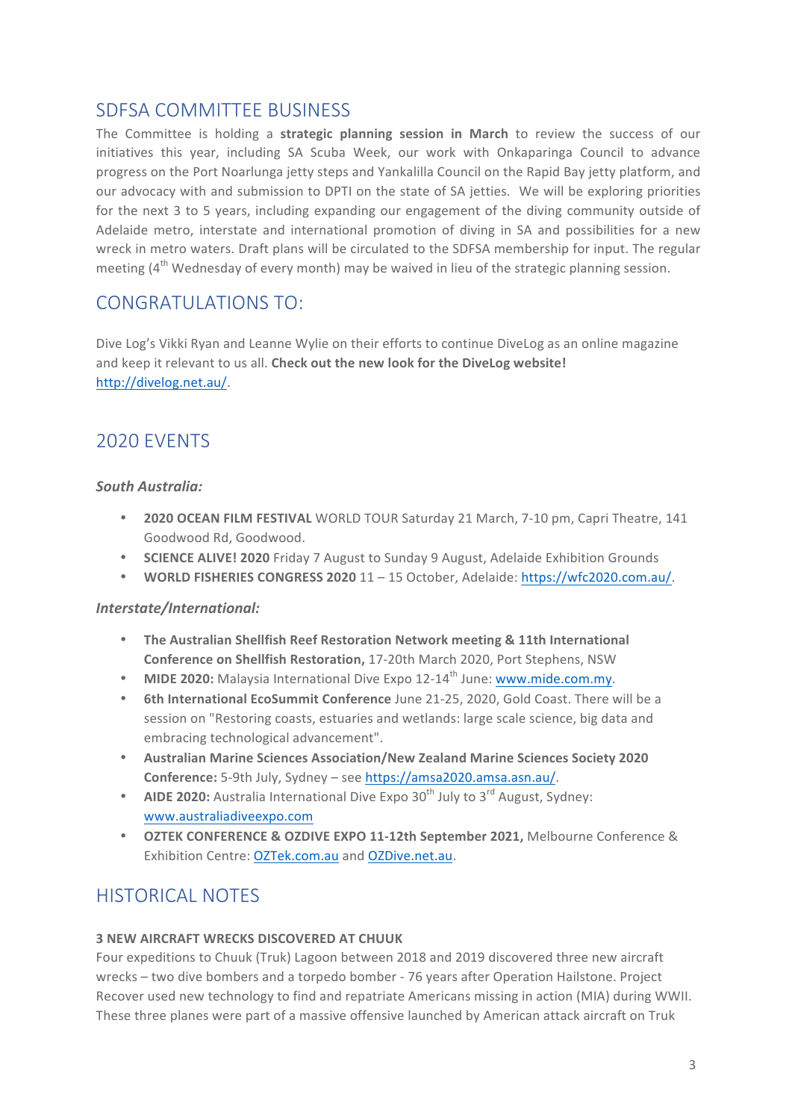# SDFSA COMMITTEE BUSINESS

The Committee is holding a **strategic planning session in March** to review the success of our initiatives this year, including SA Scuba Week, our work with Onkaparinga Council to advance progress on the Port Noarlunga ietty steps and Yankalilla Council on the Rapid Bay jetty platform, and our advocacy with and submission to DPTI on the state of SA jetties. We will be exploring priorities for the next 3 to 5 years, including expanding our engagement of the diving community outside of Adelaide metro, interstate and international promotion of diving in SA and possibilities for a new wreck in metro waters. Draft plans will be circulated to the SDFSA membership for input. The regular meeting  $(4^{th}$  Wednesday of every month) may be waived in lieu of the strategic planning session.

### CONGRATULATIONS TO:

Dive Log's Vikki Ryan and Leanne Wylie on their efforts to continue DiveLog as an online magazine and keep it relevant to us all. Check out the new look for the DiveLog website! http://divelog.net.au/. 

# 2020 EVENTS

#### *South Australia:*

- **2020 OCEAN FILM FESTIVAL** WORLD TOUR Saturday 21 March, 7-10 pm, Capri Theatre, 141 Goodwood Rd, Goodwood.
- **SCIENCE ALIVE! 2020** Friday 7 August to Sunday 9 August, Adelaide Exhibition Grounds
- WORLD FISHERIES CONGRESS 2020 11 15 October, Adelaide: https://wfc2020.com.au/.

#### *Interstate/International:*

- The Australian Shellfish Reef Restoration Network meeting & 11th International **Conference on Shellfish Restoration, 17-20th March 2020, Port Stephens, NSW**
- **MIDE 2020:** Malaysia International Dive Expo 12-14<sup>th</sup> June: www.mide.com.my.
- 6th International EcoSummit Conference June 21-25, 2020, Gold Coast. There will be a session on "Restoring coasts, estuaries and wetlands: large scale science, big data and embracing technological advancement".
- Australian Marine Sciences Association/New Zealand Marine Sciences Society 2020 Conference: 5-9th July, Sydney – see https://amsa2020.amsa.asn.au/.
- **AIDE 2020:** Australia International Dive Expo 30<sup>th</sup> July to 3<sup>rd</sup> August, Sydney: www.australiadiveexpo.com
- **OZTEK CONFERENCE & OZDIVE EXPO 11-12th September 2021, Melbourne Conference &** Exhibition Centre: OZTek.com.au and OZDive.net.au.

# HISTORICAL NOTES

#### **3 NEW AIRCRAFT WRECKS DISCOVERED AT CHUUK**

Four expeditions to Chuuk (Truk) Lagoon between 2018 and 2019 discovered three new aircraft wrecks – two dive bombers and a torpedo bomber - 76 years after Operation Hailstone. Project Recover used new technology to find and repatriate Americans missing in action (MIA) during WWII. These three planes were part of a massive offensive launched by American attack aircraft on Truk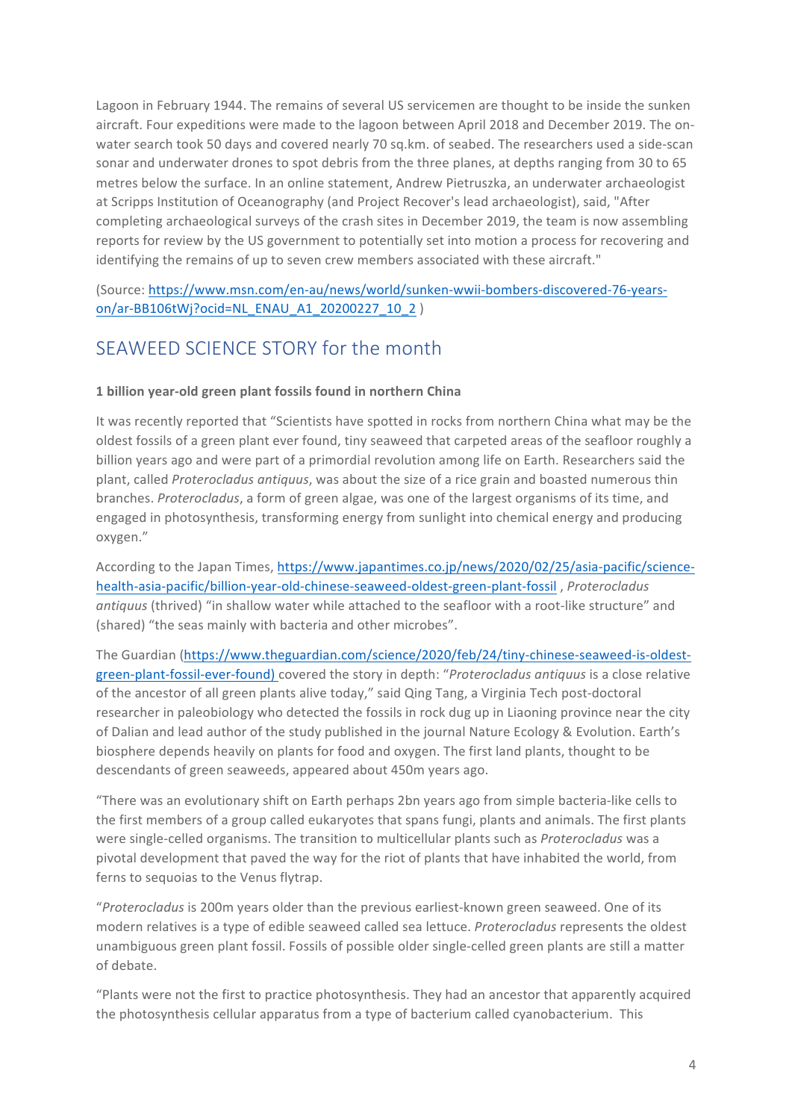Lagoon in February 1944. The remains of several US servicemen are thought to be inside the sunken aircraft. Four expeditions were made to the lagoon between April 2018 and December 2019. The onwater search took 50 days and covered nearly 70 sq.km. of seabed. The researchers used a side-scan sonar and underwater drones to spot debris from the three planes, at depths ranging from 30 to 65 metres below the surface. In an online statement, Andrew Pietruszka, an underwater archaeologist at Scripps Institution of Oceanography (and Project Recover's lead archaeologist), said, "After completing archaeological surveys of the crash sites in December 2019, the team is now assembling reports for review by the US government to potentially set into motion a process for recovering and identifying the remains of up to seven crew members associated with these aircraft."

(Source: https://www.msn.com/en-au/news/world/sunken-wwii-bombers-discovered-76-yearson/ar-BB106tWj?ocid=NL\_ENAU\_A1\_20200227\_10\_2 )

### SEAWEED SCIENCE STORY for the month

#### **1 billion year-old green plant fossils found in northern China**

It was recently reported that "Scientists have spotted in rocks from northern China what may be the oldest fossils of a green plant ever found, tiny seaweed that carpeted areas of the seafloor roughly a billion years ago and were part of a primordial revolution among life on Earth. Researchers said the plant, called *Proterocladus* antiquus, was about the size of a rice grain and boasted numerous thin branches. *Proterocladus*, a form of green algae, was one of the largest organisms of its time, and engaged in photosynthesis, transforming energy from sunlight into chemical energy and producing oxygen."

According to the Japan Times, https://www.japantimes.co.jp/news/2020/02/25/asia-pacific/sciencehealth-asia-pacific/billion-year-old-chinese-seaweed-oldest-green-plant-fossil, Proterocladus antiquus (thrived) "in shallow water while attached to the seafloor with a root-like structure" and (shared) "the seas mainly with bacteria and other microbes".

The Guardian (https://www.theguardian.com/science/2020/feb/24/tiny-chinese-seaweed-is-oldestgreen-plant-fossil-ever-found) covered the story in depth: "Proterocladus antiquus is a close relative of the ancestor of all green plants alive today," said Qing Tang, a Virginia Tech post-doctoral researcher in paleobiology who detected the fossils in rock dug up in Liaoning province near the city of Dalian and lead author of the study published in the journal Nature Ecology & Evolution. Earth's biosphere depends heavily on plants for food and oxygen. The first land plants, thought to be descendants of green seaweeds, appeared about 450m years ago.

"There was an evolutionary shift on Earth perhaps 2bn years ago from simple bacteria-like cells to the first members of a group called eukaryotes that spans fungi, plants and animals. The first plants were single-celled organisms. The transition to multicellular plants such as *Proterocladus* was a pivotal development that paved the way for the riot of plants that have inhabited the world, from ferns to sequoias to the Venus flytrap.

"Proterocladus is 200m years older than the previous earliest-known green seaweed. One of its modern relatives is a type of edible seaweed called sea lettuce. *Proterocladus* represents the oldest unambiguous green plant fossil. Fossils of possible older single-celled green plants are still a matter of debate.

"Plants were not the first to practice photosynthesis. They had an ancestor that apparently acquired the photosynthesis cellular apparatus from a type of bacterium called cyanobacterium. This